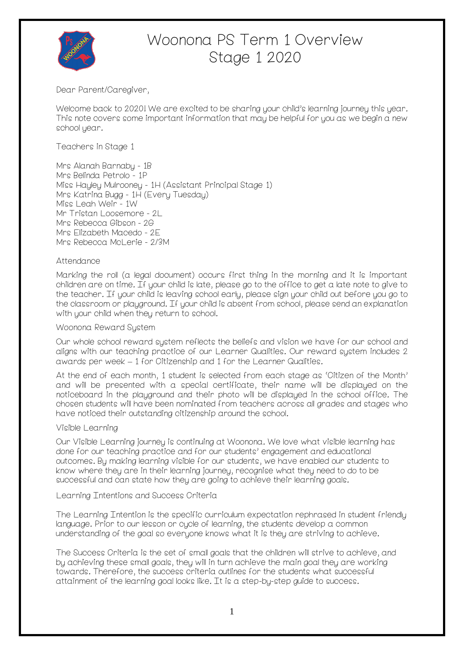

# Woonona PS Term 1 Overview Stage 1 2020

Dear Parent/Caregiver,

Welcome back to 2020! We are excited to be sharing your child's learning journey this year. This note covers some important information that may be helpful for you as we begin a new school year.

Teachers in Stage 1

Mrs Alanah Barnaby - 1B Mrs Belinda Petrolo - 1P Miss Hayley Mulrooney - 1H (Assistant Principal Stage 1) Mrs Katrina Bugg - 1H (Every Tuesday) Miss Leah Weir - 1W Mr Tristan Loosemore - 2L Mrs Rebecca Gibson - 2G Mrs Elizabeth Macedo - 2E Mrs Rebecca McLerie - 2/3M

#### Attendance

Marking the roll (a legal document) occurs first thing in the morning and it is important children are on time. If your child is late, please go to the office to get a late note to give to the teacher. If your child is leaving school early, please sign your child out before you go to the classroom or playground. If your child is absent from school, please send an explanation with your child when they return to school.

#### Woonona Reward System

Our whole school reward system reflects the beliefs and vision we have for our school and aligns with our teaching practice of our Learner Qualities. Our reward system includes 2 awards per week – 1 for Citizenship and 1 for the Learner Qualities.

At the end of each month, 1 student is selected from each stage as 'Citizen of the Month' and will be presented with a special certificate, their name will be displayed on the noticeboard in the playground and their photo will be displayed in the school office. The chosen students will have been nominated from teachers across all grades and stages who have noticed their outstanding citizenship around the school.

## Visible Learning

Our Visible Learning journey is continuing at Woonona. We love what visible learning has done for our teaching practice and for our students' engagement and educational outcomes. By making learning visible for our students, we have enabled our students to know where they are in their learning journey, recognise what they need to do to be successful and can state how they are going to achieve their learning goals.

#### Learning Intentions and Success Criteria

The Learning Intention is the specific curriculum expectation rephrased in student friendly language. Prior to our lesson or cycle of learning, the students develop a common understanding of the goal so everyone knows what it is they are striving to achieve.

The Success Criteria is the set of small goals that the children will strive to achieve, and by achieving these small goals, they will in turn achieve the main goal they are working towards. Therefore, the success criteria outlines for the students what successful attainment of the learning goal looks like. It is a step-by-step guide to success.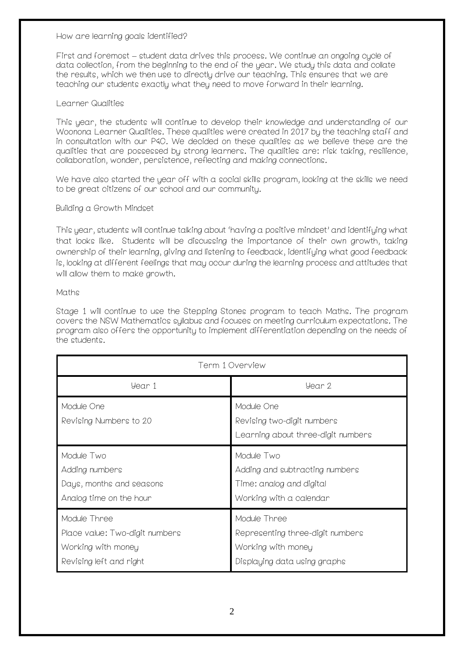#### How are learning goals identified?

First and foremost – student data drives this process. We continue an ongoing cycle of data collection, from the beginning to the end of the year. We study this data and collate the results, which we then use to directly drive our teaching. This ensures that we are teaching our students exactly what they need to move forward in their learning.

#### Learner Qualities

This year, the students will continue to develop their knowledge and understanding of our Woonona Learner Qualities. These qualities were created in 2017 by the teaching staff and in consultation with our P&C. We decided on these qualities as we believe these are the qualities that are possessed by strong learners. The qualities are: risk taking, resilience, collaboration, wonder, persistence, reflecting and making connections.

We have also started the year off with a social skills program, looking at the skills we need to be great citizens of our school and our community.

#### Building a Growth Mindset

This year, students will continue talking about 'having a positive mindset' and identifying what that looks like. Students will be discussing the importance of their own growth, taking ownership of their learning, giving and listening to feedback, identifying what good feedback is, looking at different feelings that may occur during the learning process and attitudes that will allow them to make growth.

#### Maths

Stage 1 will continue to use the Stepping Stones program to teach Maths. The program covers the NSW Mathematics syllabus and focuses on meeting curriculum expectations. The program also offers the opportunity to implement differentiation depending on the needs of the students.

| Term 1 Overview                                                                                 |                                                                                                        |
|-------------------------------------------------------------------------------------------------|--------------------------------------------------------------------------------------------------------|
| Year 1                                                                                          | Year 2                                                                                                 |
| Module One<br>Revising Numbers to 20                                                            | Module One<br>Revising two-digit numbers<br>Learning about three-digit numbers                         |
| Module Two<br>Adding numbers<br>Days, months and seasons<br>Analog time on the hour             | Module Two<br>Adding and subtracting numbers<br>Time: analog and digital<br>Working with a calendar    |
| Module Three<br>Place value: Two-digit numbers<br>Working with money<br>Revising left and right | Module Three<br>Representing three-digit numbers<br>Working with money<br>Displaying data using graphs |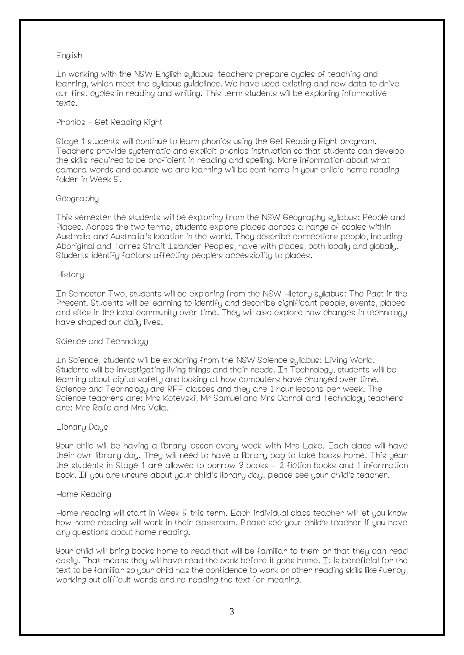## English

In working with the NSW English syllabus, teachers prepare cycles of teaching and learning, which meet the syllabus guidelines. We have used existing and new data to drive our first cycles in reading and writing. This term students will be exploring informative texte

## Phonics **–** Get Reading Right

Stage 1 students will continue to learn phonics using the Get Reading Right program. Teachers provide systematic and explicit phonics instruction so that students can develop the skills required to be proficient in reading and spelling. More information about what camera words and sounds we are learning will be sent home in your child's home reading folder in Week 5.

## Geography

This semester the students will be exploring from the NSW Geography syllabus: People and Places. Across the two terms, students explore places across a range of scales within Australia and Australia's location in the world. They describe connections people, including Aboriginal and Torres Strait Islander Peoples, have with places, both locally and globally. Students identify factors affecting people's accessibility to places.

## History

In Semester Two, students will be exploring from the NSW History syllabus: The Past in the Present. Students will be learning to identify and describe significant people, events, places and sites in the local community over time. They will also explore how changes in technology have shaped our daily lives.

## Science and Technology

In Science, students will be exploring from the NSW Science syllabus: Living World. Students will be investigating living things and their needs. In Technology, students willl be learning about digital safety and looking at how computers have changed over time. Science and Technology are RFF classes and they are 1 hour lessons per week. The Science teachers are: Mrs Kotevski, Mr Samuel and Mrs Carroll and Technology teachers are: Mrs Rolfe and Mrs Vella.

## Library Days

Your child will be having a library lesson every week with Mrs Lake. Each class will have their own library day. They will need to have a library bag to take books home. This year the students in Stage 1 are allowed to borrow 3 books – 2 fiction books and 1 information book. If you are unsure about your child's library day, please see your child's teacher.

## Home Reading

Home reading will start in Week 5 this term. Each individual class teacher will let you know how home reading will work in their classroom. Please see your child's teacher if you have any questions about home reading.

Your child will bring books home to read that will be familiar to them or that they can read easily. That means they will have read the book before it goes home. It is beneficial for the text to be familiar so your child has the confidence to work on other reading skills like fluency, working out difficult words and re-reading the text for meaning.